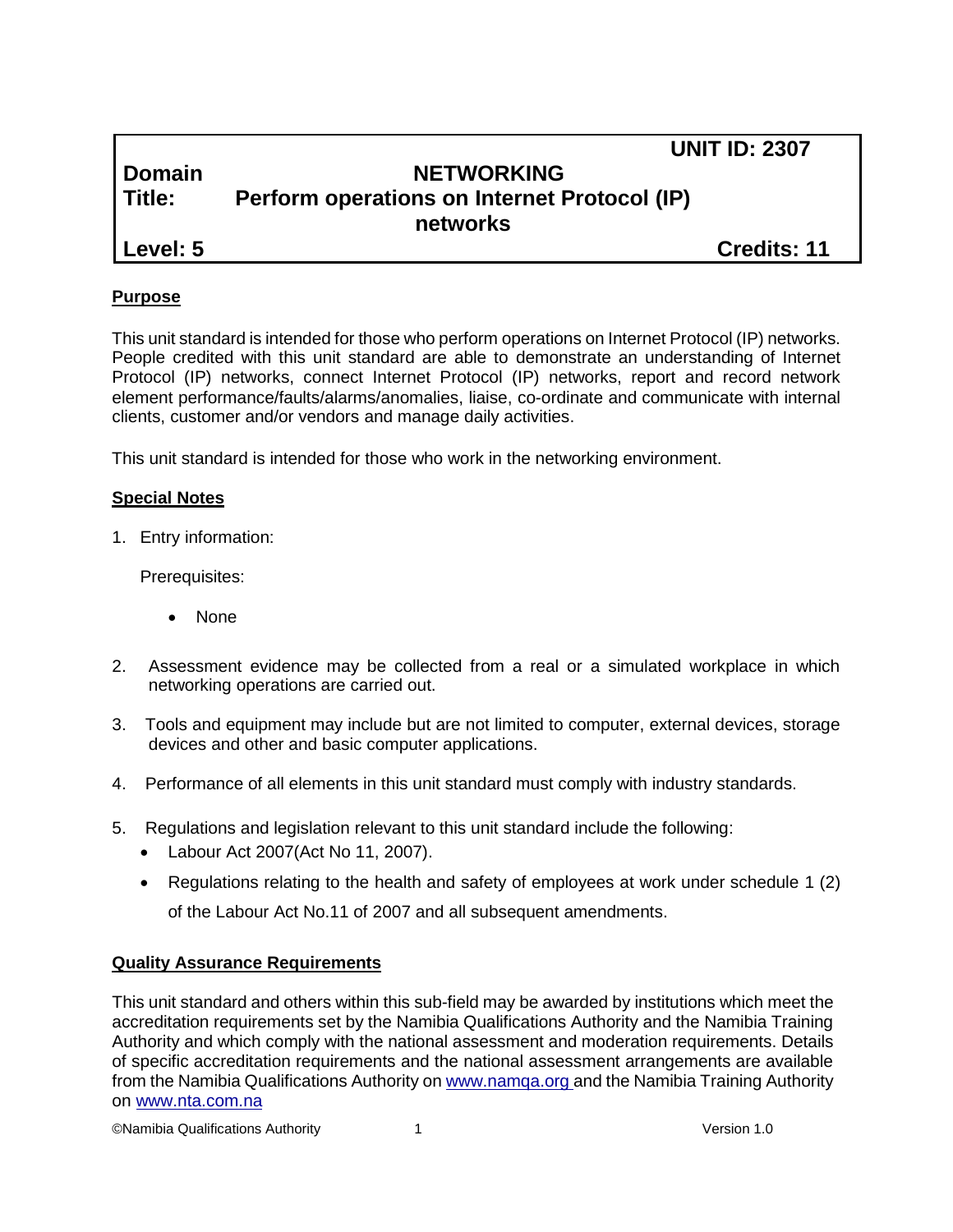|          |                                              | <b>UNIT ID: 2307</b> |
|----------|----------------------------------------------|----------------------|
| Domain   | <b>NETWORKING</b>                            |                      |
| l Title: | Perform operations on Internet Protocol (IP) |                      |
|          | networks                                     |                      |
| Level: 5 |                                              | <b>Credits: 11</b>   |

### **Purpose**

This unit standard is intended for those who perform operations on Internet Protocol (IP) networks. People credited with this unit standard are able to demonstrate an understanding of Internet Protocol (IP) networks, connect Internet Protocol (IP) networks, report and record network element performance/faults/alarms/anomalies, liaise, co-ordinate and communicate with internal clients, customer and/or vendors and manage daily activities.

This unit standard is intended for those who work in the networking environment.

#### **Special Notes**

1. Entry information:

Prerequisites:

- None
- 2. Assessment evidence may be collected from a real or a simulated workplace in which networking operations are carried out.
- 3. Tools and equipment may include but are not limited to computer, external devices, storage devices and other and basic computer applications.
- 4. Performance of all elements in this unit standard must comply with industry standards.
- 5. Regulations and legislation relevant to this unit standard include the following:
	- Labour Act 2007(Act No 11, 2007).
	- Regulations relating to the health and safety of employees at work under schedule 1 (2) of the Labour Act No.11 of 2007 and all subsequent amendments.

#### **Quality Assurance Requirements**

This unit standard and others within this sub-field may be awarded by institutions which meet the accreditation requirements set by the Namibia Qualifications Authority and the Namibia Training Authority and which comply with the national assessment and moderation requirements. Details of specific accreditation requirements and the national assessment arrangements are available from the Namibia Qualifications Authority o[n www.namqa.org a](http://www.namqa.org/)nd the Namibia Training Authority on [www.nta.com.na](http://www.nta.com.na/)

©Namibia Qualifications Authority 1 Version 1.0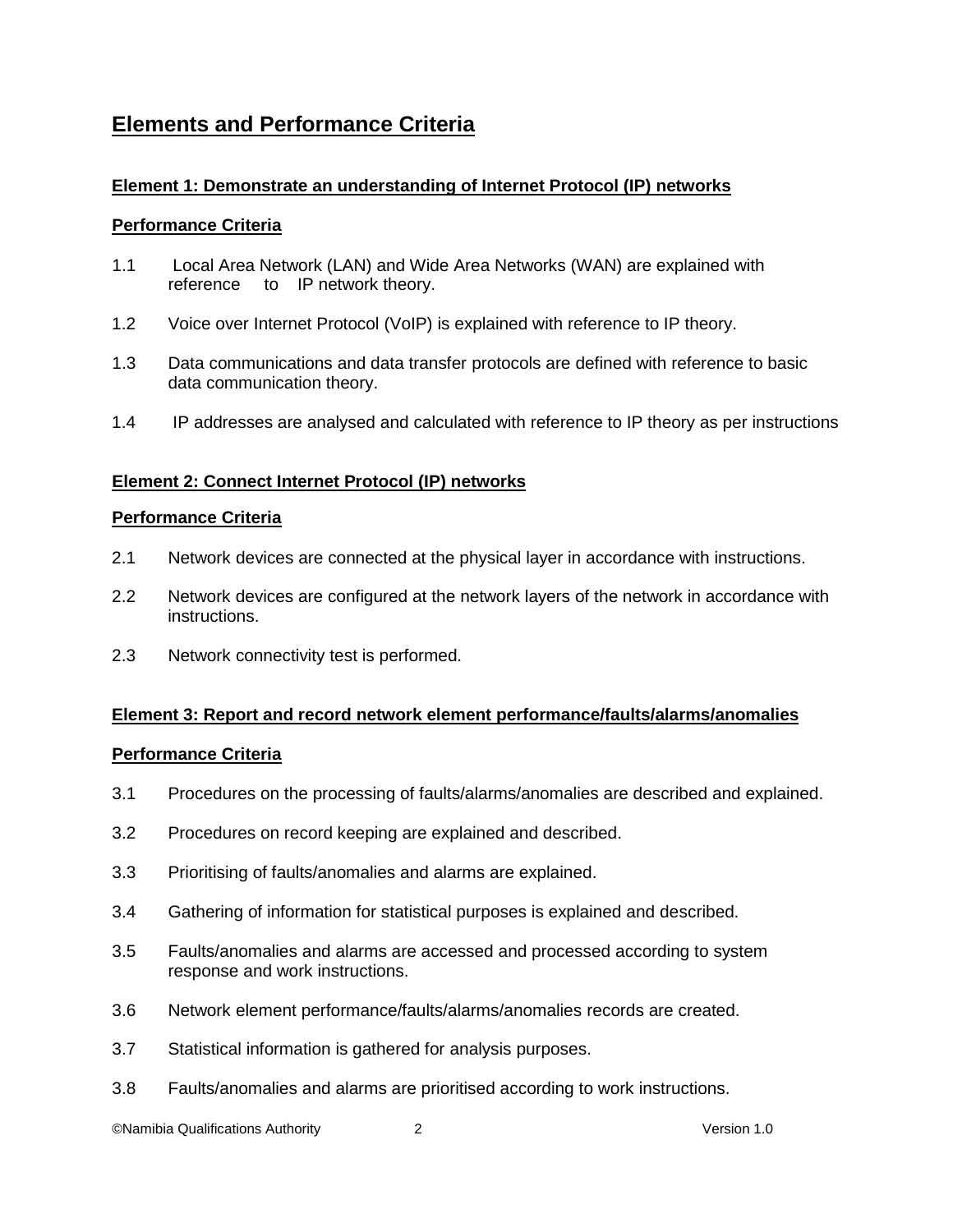# **Elements and Performance Criteria**

## **Element 1: Demonstrate an understanding of Internet Protocol (IP) networks**

#### **Performance Criteria**

- 1.1 Local Area Network (LAN) and Wide Area Networks (WAN) are explained with reference to IP network theory.
- 1.2 Voice over Internet Protocol (VoIP) is explained with reference to IP theory.
- 1.3 Data communications and data transfer protocols are defined with reference to basic data communication theory.
- 1.4 IP addresses are analysed and calculated with reference to IP theory as per instructions

### **Element 2: Connect Internet Protocol (IP) networks**

#### **Performance Criteria**

- 2.1 Network devices are connected at the physical layer in accordance with instructions.
- 2.2 Network devices are configured at the network layers of the network in accordance with instructions.
- 2.3 Network connectivity test is performed.

### **Element 3: Report and record network element performance/faults/alarms/anomalies**

#### **Performance Criteria**

- 3.1 Procedures on the processing of faults/alarms/anomalies are described and explained.
- 3.2 Procedures on record keeping are explained and described.
- 3.3 Prioritising of faults/anomalies and alarms are explained.
- 3.4 Gathering of information for statistical purposes is explained and described.
- 3.5 Faults/anomalies and alarms are accessed and processed according to system response and work instructions.
- 3.6 Network element performance/faults/alarms/anomalies records are created.
- 3.7 Statistical information is gathered for analysis purposes.
- 3.8 Faults/anomalies and alarms are prioritised according to work instructions.